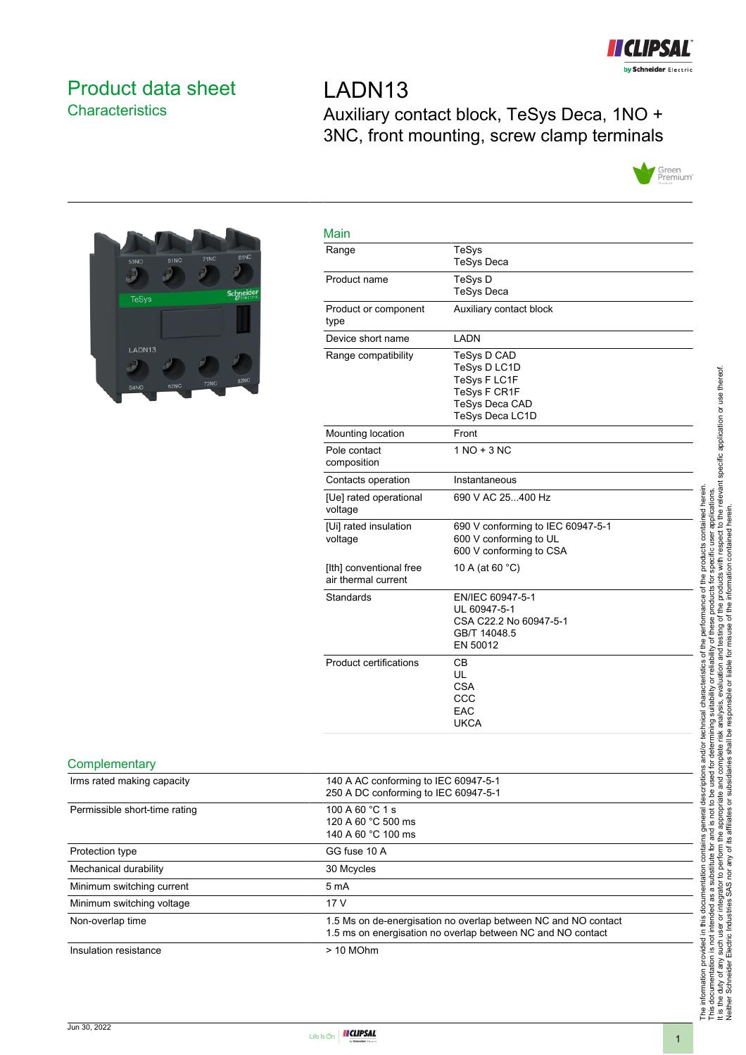

# <span id="page-0-0"></span>Product data sheet **Characteristics**

LADN13 Auxiliary contact block, TeSys Deca, 1NO + 3NC, front mounting, screw clamp terminals





| Range                                          | <b>TeSys</b>                                                                                            |
|------------------------------------------------|---------------------------------------------------------------------------------------------------------|
|                                                | <b>TeSys Deca</b>                                                                                       |
| Product name                                   | TeSys D                                                                                                 |
|                                                | <b>TeSys Deca</b>                                                                                       |
| Product or component<br>type                   | Auxiliary contact block                                                                                 |
| Device short name                              | LADN                                                                                                    |
| Range compatibility                            | <b>TeSys D CAD</b><br>TeSys D LC1D<br>TeSys F LC1F<br>TeSys F CR1F<br>TeSys Deca CAD<br>TeSys Deca LC1D |
| Mounting location                              | Front                                                                                                   |
| Pole contact<br>composition                    | $1 NQ + 3 NC$                                                                                           |
| Contacts operation                             | Instantaneous                                                                                           |
| [Ue] rated operational<br>voltage              | 690 V AC 25400 Hz                                                                                       |
| [Ui] rated insulation<br>voltage               | 690 V conforming to IEC 60947-5-1<br>600 V conforming to UL<br>600 V conforming to CSA                  |
| [Ith] conventional free<br>air thermal current | 10 A (at 60 °C)                                                                                         |
| Standards                                      | EN/IEC 60947-5-1<br>UL 60947-5-1<br>CSA C22.2 No 60947-5-1<br>GB/T 14048.5<br>EN 50012                  |
| <b>Product certifications</b>                  | CВ<br>UL<br><b>CSA</b><br>CCC<br>EAC<br><b>UKCA</b>                                                     |

#### **Complementary**

| Irms rated making capacity    | 140 A AC conforming to IEC 60947-5-1                           |
|-------------------------------|----------------------------------------------------------------|
|                               | 250 A DC conforming to IEC 60947-5-1                           |
| Permissible short-time rating | 100 A 60 °C 1 s                                                |
|                               | 120 A 60 °C 500 ms                                             |
|                               | 140 A 60 °C 100 ms                                             |
| Protection type               | GG fuse 10 A                                                   |
| Mechanical durability         | 30 Mcycles                                                     |
| Minimum switching current     | 5 <sub>m</sub> A                                               |
| Minimum switching voltage     | 17 <sub>V</sub>                                                |
| Non-overlap time              | 1.5 Ms on de-energisation no overlap between NC and NO contact |
|                               | 1.5 ms on energisation no overlap between NC and NO contact    |
| Insulation resistance         | $> 10$ MOhm                                                    |